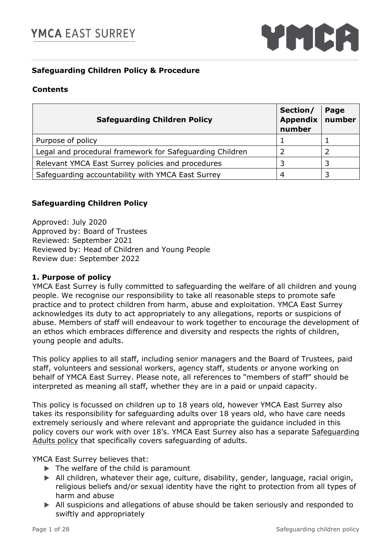

# **Safeguarding Children Policy & Procedure**

## **Contents**

| <b>Safeguarding Children Policy</b>                      | Section/<br><b>Appendix</b><br>number | Page<br>number |
|----------------------------------------------------------|---------------------------------------|----------------|
| Purpose of policy                                        |                                       |                |
| Legal and procedural framework for Safeguarding Children |                                       |                |
| Relevant YMCA East Surrey policies and procedures        |                                       |                |
| Safeguarding accountability with YMCA East Surrey        |                                       |                |

# **Safeguarding Children Policy**

Approved: July 2020 Approved by: Board of Trustees Reviewed: September 2021 Reviewed by: Head of Children and Young People Review due: September 2022

## **1. Purpose of policy**

YMCA East Surrey is fully committed to safeguarding the welfare of all children and young people. We recognise our responsibility to take all reasonable steps to promote safe practice and to protect children from harm, abuse and exploitation. YMCA East Surrey acknowledges its duty to act appropriately to any allegations, reports or suspicions of abuse. Members of staff will endeavour to work together to encourage the development of an ethos which embraces difference and diversity and respects the rights of children, young people and adults.

This policy applies to all staff, including senior managers and the Board of Trustees, paid staff, volunteers and sessional workers, agency staff, students or anyone working on behalf of YMCA East Surrey. Please note, all references to "members of staff" should be interpreted as meaning all staff, whether they are in a paid or unpaid capacity.

This policy is focussed on children up to 18 years old, however YMCA East Surrey also takes its responsibility for safeguarding adults over 18 years old, who have care needs extremely seriously and where relevant and appropriate the guidance included in this policy covers our work with over 18's. YMCA East Surrey also has a separate [Safeguarding](https://www.gov.uk/government/collections/counter-terrorism-and-security-bill) [Adults](https://www.gov.uk/government/collections/counter-terrorism-and-security-bill) [policy](https://www.gov.uk/government/collections/counter-terrorism-and-security-bill) that specifically covers safeguarding of adults.

YMCA East Surrey believes that:

- $\blacktriangleright$  The welfare of the child is paramount
- All children, whatever their age, culture, disability, gender, language, racial origin, religious beliefs and/or sexual identity have the right to protection from all types of harm and abuse
- All suspicions and allegations of abuse should be taken seriously and responded to swiftly and appropriately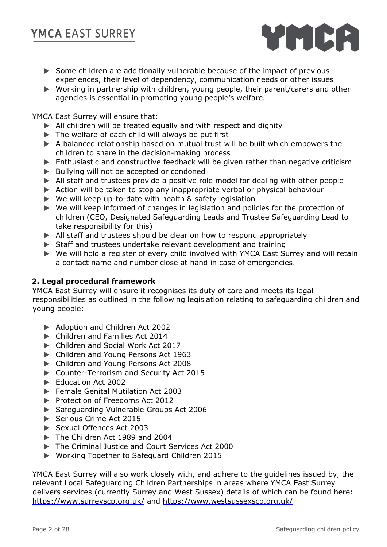

- Some children are additionally vulnerable because of the impact of previous experiences, their level of dependency, communication needs or other issues
- Working in partnership with children, young people, their parent/carers and other agencies is essential in promoting young people's welfare.

YMCA East Surrey will ensure that:

- All children will be treated equally and with respect and dignity
- $\triangleright$  The welfare of each child will always be put first
- A balanced relationship based on mutual trust will be built which empowers the children to share in the decision-making process
- Enthusiastic and constructive feedback will be given rather than negative criticism
- ▶ Bullying will not be accepted or condoned
- All staff and trustees provide a positive role model for dealing with other people
- Action will be taken to stop any inappropriate verbal or physical behaviour
- ▶ We will keep up-to-date with health & safety legislation
- We will keep informed of changes in legislation and policies for the protection of children (CEO, Designated Safeguarding Leads and Trustee Safeguarding Lead to take responsibility for this)
- All staff and trustees should be clear on how to respond appropriately
- Staff and trustees undertake relevant development and training
- We will hold a register of every child involved with YMCA East Surrey and will retain a contact name and number close at hand in case of emergencies.

# **2. Legal procedural framework**

YMCA East Surrey will ensure it recognises its duty of care and meets its legal responsibilities as outlined in the following legislation relating to safeguarding children and young people:

- Adoption and Children Act 2002
- Children and Families Act 2014
- ▶ Children and Social Work Act 2017
- Children and Young Persons Act 1963
- Children and Young Persons Act 2008
- ▶ Counter-Terrorism and Security Act 2015
- Education Act 2002
- Female Genital Mutilation Act 2003
- Protection of Freedoms Act 2012
- ▶ Safeguarding Vulnerable Groups Act 2006
- ▶ Serious Crime Act 2015
- ▶ Sexual Offences Act 2003
- The Children Act 1989 and 2004
- ▶ The Criminal Justice and Court Services Act 2000
- ▶ Working Together to Safeguard Children 2015

YMCA East Surrey will also work closely with, and adhere to the guidelines issued by, the relevant Local Safeguarding Children Partnerships in areas where YMCA East Surrey delivers services (currently Surrey and West Sussex) details of which can be found here: [https://www.surreyscp.org.uk/](https://www.gov.uk/government/organisations/disclosure-and-barring-service) an[d](https://www.westsussexscp.org.uk/) <https://www.westsussexscp.org.uk/>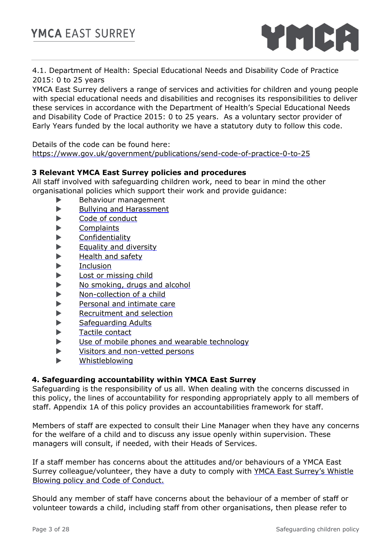

4.1. Department of Health: Special Educational Needs and Disability Code of Practice 2015: 0 to 25 years

YMCA East Surrey delivers a range of services and activities for children and young people with special educational needs and disabilities and recognises its responsibilities to deliver these services in accordance with the Department of Health's Special Educational Needs and Disability Code of Practice 2015: 0 to 25 years. As a voluntary sector provider of Early Years funded by the local authority we have a statutory duty to follow this code.

Details of the code can be found here:

[https://www.gov.uk/government/publications/send-code-of-practice-0-to-25](https://www.youthaccess.org.uk/remote-support-toolkit/remote-support-toolkit)

### **3 Relevant YMCA East Surrey policies and procedures**

All staff involved with safeguarding children work, need to bear in mind the other organisational policies which support their work and provide guidance:

- Behaviour management
- Bullying and Harassment
- [Code of conduct](https://surreyscb.procedures.org.uk/assets/Documents/model_flow.pdf)
- **EXECOMPLAINTS**
- **EXECUTE:** [Confidentiality](https://www.gov.uk/government/publications/send-code-of-practice-0-to-25)
- $\blacktriangleright$  Equality and diversity
- $\blacktriangleright$  [Health and safety](https://www.surreyscp.org.uk/wp-content/uploads/2016/06/SSCB-CSE-Screening-Tool-May-16.pdf)
- $\blacktriangleright$  Inclusion
- **Lost or missing child**
- No smoking, drugs and alcohol
- Non-collection of a child
- Personal and intimate care
- Recruitment and selection
- Safeguarding Adults
- **Tactile contact**
- **DEPTE 12 SET USE OF MODILE PHONES AND WEATABLE THE USE**
- visitors and non-vetted persons
- Whistleblowing

## **4. Safeguarding accountability within YMCA East Surrey**

Safeguarding is the responsibility of us all. When dealing with the concerns discussed in this policy, the lines of accountability for responding appropriately apply to all members of staff. Appendix 1A of this policy provides an accountabilities framework for staff.

Members of staff are expected to consult their Line Manager when they have any concerns for the welfare of a child and to discuss any issue openly within supervision. These managers will consult, if needed, with their Heads of Services.

If a staff member has concerns about the attitudes and/or behaviours of a YMCA East Surrey colleague/volunteer, they have a duty to comply with [YMCA East Surrey's Whistle](http://surreyscb.procedures.org.uk/) [Blowing policy and Code of Conduct.](http://surreyscb.procedures.org.uk/)

Should any member of staff have concerns about the behaviour of a member of staff or volunteer towards a child, including staff from other organisations, then please refer to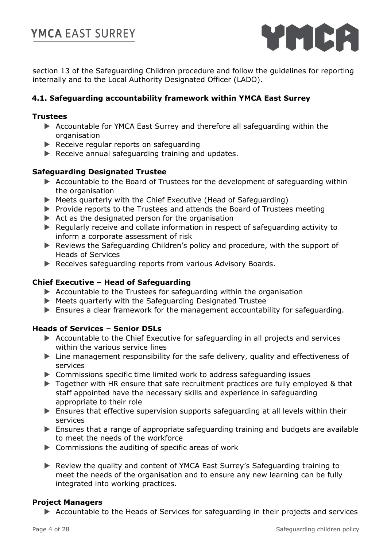

section 13 of the Safeguarding Children procedure and follow the guidelines for reporting internally and to the Local Authority Designated Officer (LADO).

## **4.1. Safeguarding accountability framework within YMCA East Surrey**

### **Trustees**

- Accountable for YMCA East Surrey and therefore all safeguarding within the organisation
- $\blacktriangleright$  Receive regular reports on safeguarding
- $\blacktriangleright$  Receive annual safeguarding training and updates.

### **Safeguarding Designated Trustee**

- Accountable to the Board of Trustees for the development of safeguarding within the organisation
- Meets quarterly with the Chief Executive (Head of Safeguarding)
- Provide reports to the Trustees and attends the Board of Trustees meeting
- $\triangleright$  Act as the designated person for the organisation
- Regularly receive and collate information in respect of safeguarding activity to inform a corporate assessment of risk
- Reviews the Safeguarding Children's policy and procedure, with the support of Heads of Services
- Receives safeguarding reports from various Advisory Boards.

## **Chief Executive – Head of Safeguarding**

- Accountable to the Trustees for safeguarding within the organisation
- Meets quarterly with the Safeguarding Designated Trustee
- Ensures a clear framework for the management accountability for safeguarding.

## **Heads of Services – Senior DSLs**

- Accountable to the Chief Executive for safeguarding in all projects and services within the various service lines
- ▶ Line management responsibility for the safe delivery, quality and effectiveness of services
- Commissions specific time limited work to address safeguarding issues
- ▶ Together with HR ensure that safe recruitment practices are fully employed & that staff appointed have the necessary skills and experience in safeguarding appropriate to their role
- Ensures that effective supervision supports safeguarding at all levels within their services
- Ensures that a range of appropriate safeguarding training and budgets are available to meet the needs of the workforce
- ▶ Commissions the auditing of specific areas of work
- Review the quality and content of YMCA East Surrey's Safeguarding training to meet the needs of the organisation and to ensure any new learning can be fully integrated into working practices.

### **Project Managers**

Accountable to the Heads of Services for safeguarding in their projects and services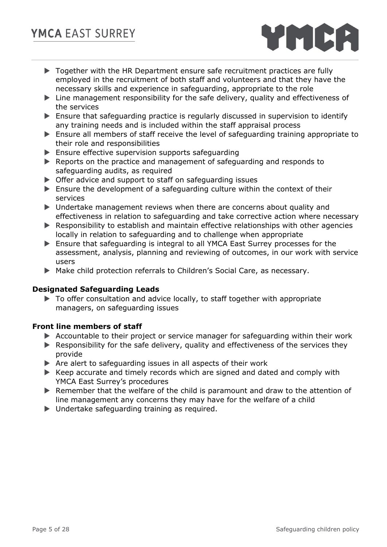- Together with the HR Department ensure safe recruitment practices are fully employed in the recruitment of both staff and volunteers and that they have the necessary skills and experience in safeguarding, appropriate to the role
- $\blacktriangleright$  Line management responsibility for the safe delivery, quality and effectiveness of the services
- $\triangleright$  Ensure that safeguarding practice is regularly discussed in supervision to identify any training needs and is included within the staff appraisal process
- Ensure all members of staff receive the level of safeguarding training appropriate to their role and responsibilities
- **Ensure effective supervision supports safeguarding**
- Reports on the practice and management of safeguarding and responds to safeguarding audits, as required
- ▶ Offer advice and support to staff on safeguarding issues
- Ensure the development of a safeguarding culture within the context of their services
- Undertake management reviews when there are concerns about quality and effectiveness in relation to safeguarding and take corrective action where necessary
- Responsibility to establish and maintain effective relationships with other agencies locally in relation to safeguarding and to challenge when appropriate
- Ensure that safeguarding is integral to all YMCA East Surrey processes for the assessment, analysis, planning and reviewing of outcomes, in our work with service users
- Make child protection referrals to Children's Social Care, as necessary.

## **Designated Safeguarding Leads**

▶ To offer consultation and advice locally, to staff together with appropriate managers, on safeguarding issues

### **Front line members of staff**

- Accountable to their project or service manager for safeguarding within their work
- Responsibility for the safe delivery, quality and effectiveness of the services they provide
- $\blacktriangleright$  Are alert to safeguarding issues in all aspects of their work
- ▶ Keep accurate and timely records which are signed and dated and comply with YMCA East Surrey's procedures
- Remember that the welfare of the child is paramount and draw to the attention of line management any concerns they may have for the welfare of a child
- ▶ Undertake safequarding training as required.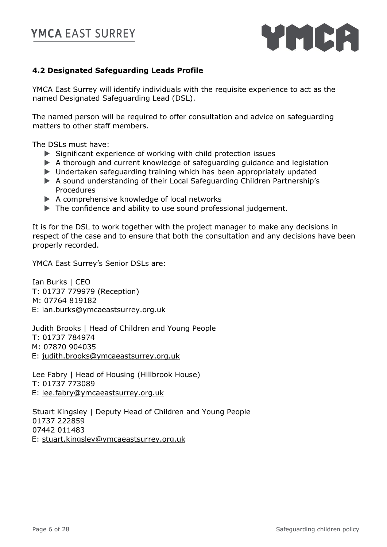

## **4.2 Designated Safeguarding Leads Profile**

YMCA East Surrey will identify individuals with the requisite experience to act as the named Designated Safeguarding Lead (DSL).

The named person will be required to offer consultation and advice on safeguarding matters to other staff members.

The DSLs must have:

- $\triangleright$  Significant experience of working with child protection issues
- A thorough and current knowledge of safeguarding guidance and legislation
- Undertaken safeguarding training which has been appropriately updated
- A sound understanding of their Local Safeguarding Children Partnership's Procedures
- A comprehensive knowledge of local networks
- The confidence and ability to use sound professional judgement.

It is for the DSL to work together with the project manager to make any decisions in respect of the case and to ensure that both the consultation and any decisions have been properly recorded.

YMCA East Surrey's Senior DSLs are:

Ian Burks | CEO T: 01737 779979 (Reception) M: 07764 819182 E: ian.burks@ymcaeastsurrey.org.uk

Judith Brooks | Head of Children and Young People T: 01737 784974 M: 07870 904035 E: judith.brooks@ymcaeastsurrey.org.uk

Lee Fabry | Head of Housing (Hillbrook House) T: 01737 773089 E: lee.fabry@ymcaeastsurrey.org.uk

Stuart Kingsley | Deputy Head of Children and Young People 01737 222859 07442 011483 E: stuart.kingsley@ymcaeastsurrey.org.uk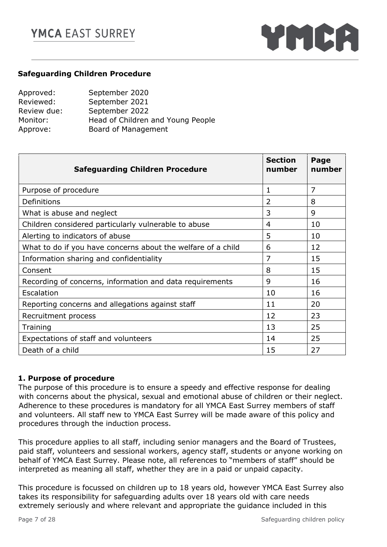

### **Safeguarding Children Procedure**

| Approved:   | September 2020                    |
|-------------|-----------------------------------|
| Reviewed:   | September 2021                    |
| Review due: | September 2022                    |
| Monitor:    | Head of Children and Young People |
| Approve:    | Board of Management               |

| <b>Safeguarding Children Procedure</b>                       | <b>Section</b><br>number | Page<br>number |
|--------------------------------------------------------------|--------------------------|----------------|
| Purpose of procedure                                         | 1                        | 7              |
| <b>Definitions</b>                                           | 2                        | 8              |
| What is abuse and neglect                                    | 3                        | 9              |
| Children considered particularly vulnerable to abuse         | 4                        | 10             |
| Alerting to indicators of abuse                              | 5                        | 10             |
| What to do if you have concerns about the welfare of a child | 6                        | 12             |
| Information sharing and confidentiality                      | 7                        | 15             |
| Consent                                                      | 8                        | 15             |
| Recording of concerns, information and data requirements     | 9                        | 16             |
| Escalation                                                   | 10                       | 16             |
| Reporting concerns and allegations against staff             | 11                       | 20             |
| Recruitment process                                          | 12                       | 23             |
| Training                                                     | 13                       | 25             |
| Expectations of staff and volunteers                         | 14                       | 25             |
| Death of a child                                             | 15                       | 27             |

### **1. Purpose of procedure**

The purpose of this procedure is to ensure a speedy and effective response for dealing with concerns about the physical, sexual and emotional abuse of children or their neglect. Adherence to these procedures is mandatory for all YMCA East Surrey members of staff and volunteers. All staff new to YMCA East Surrey will be made aware of this policy and procedures through the induction process.

This procedure applies to all staff, including senior managers and the Board of Trustees, paid staff, volunteers and sessional workers, agency staff, students or anyone working on behalf of YMCA East Surrey. Please note, all references to "members of staff" should be interpreted as meaning all staff, whether they are in a paid or unpaid capacity.

This procedure is focussed on children up to 18 years old, however YMCA East Surrey also takes its responsibility for safeguarding adults over 18 years old with care needs extremely seriously and where relevant and appropriate the guidance included in this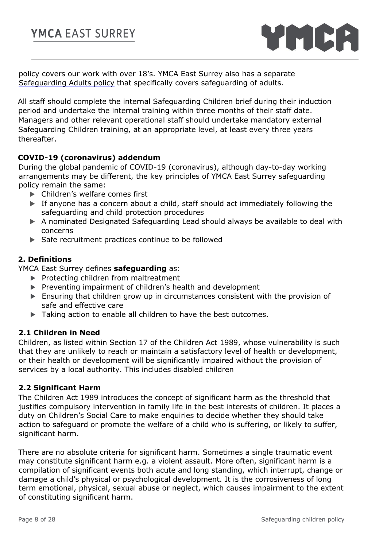

policy covers our work with over 18's. YMCA East Surrey also has a separate [Safeguarding](https://www.surreyscp.org.uk/) [Adults](https://www.surreyscp.org.uk/) [policy](https://www.surreyscp.org.uk/) that specifically covers safeguarding of adults.

All staff should complete the internal Safeguarding Children brief during their induction period and undertake the internal training within three months of their staff date. Managers and other relevant operational staff should undertake mandatory external Safeguarding Children training, at an appropriate level, at least every three years thereafter.

## **COVID-19 (coronavirus) addendum**

During the global pandemic of COVID-19 (coronavirus), although day-to-day working arrangements may be different, the key principles of YMCA East Surrey safeguarding policy remain the same:

- ▶ Children's welfare comes first
- If anyone has a concern about a child, staff should act immediately following the safeguarding and child protection procedures
- A nominated Designated Safeguarding Lead should always be available to deal with concerns
- $\triangleright$  Safe recruitment practices continue to be followed

## **2. Definitions**

YMCA East Surrey defines **safeguarding** as:

- $\blacktriangleright$  Protecting children from maltreatment
- Preventing impairment of children's health and development
- Ensuring that children grow up in circumstances consistent with the provision of safe and effective care
- $\blacktriangleright$  Taking action to enable all children to have the best outcomes.

## **2.1 Children in Need**

Children, as listed within Section 17 of the Children Act 1989, whose vulnerability is such that they are unlikely to reach or maintain a satisfactory level of health or development, or their health or development will be significantly impaired without the provision of services by a local authority. This includes disabled children

## **2.2 Significant Harm**

The Children Act 1989 introduces the concept of significant harm as the threshold that justifies compulsory intervention in family life in the best interests of children. It places a duty on Children's Social Care to make enquiries to decide whether they should take action to safeguard or promote the welfare of a child who is suffering, or likely to suffer, significant harm.

There are no absolute criteria for significant harm. Sometimes a single traumatic event may constitute significant harm e.g. a violent assault. More often, significant harm is a compilation of significant events both acute and long standing, which interrupt, change or damage a child's physical or psychological development. It is the corrosiveness of long term emotional, physical, sexual abuse or neglect, which causes impairment to the extent of constituting significant harm.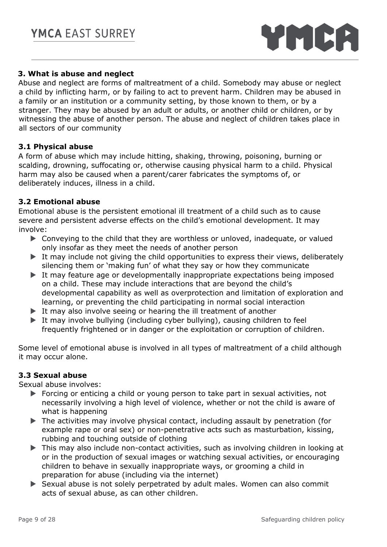

### **3. What is abuse and neglect**

Abuse and neglect are forms of maltreatment of a child. Somebody may abuse or neglect a child by inflicting harm, or by failing to act to prevent harm. Children may be abused in a family or an institution or a community setting, by those known to them, or by a stranger. They may be abused by an adult or adults, or another child or children, or by witnessing the abuse of another person. The abuse and neglect of children takes place in all sectors of our community

### **3.1 Physical abuse**

A form of abuse which may include hitting, shaking, throwing, poisoning, burning or scalding, drowning, suffocating or, otherwise causing physical harm to a child. Physical harm may also be caused when a parent/carer fabricates the symptoms of, or deliberately induces, illness in a child.

### **3.2 Emotional abuse**

Emotional abuse is the persistent emotional ill treatment of a child such as to cause severe and persistent adverse effects on the child's emotional development. It may involve:

- Conveying to the child that they are worthless or unloved, inadequate, or valued only insofar as they meet the needs of another person
- It may include not giving the child opportunities to express their views, deliberately silencing them or 'making fun' of what they say or how they communicate
- $\blacktriangleright$  It may feature age or developmentally inappropriate expectations being imposed on a child. These may include interactions that are beyond the child's developmental capability as well as overprotection and limitation of exploration and learning, or preventing the child participating in normal social interaction
- It may also involve seeing or hearing the ill treatment of another
- It may involve bullying (including cyber bullying), causing children to feel frequently frightened or in danger or the exploitation or corruption of children.

Some level of emotional abuse is involved in all types of maltreatment of a child although it may occur alone.

### **3.3 Sexual abuse**

Sexual abuse involves:

- Forcing or enticing a child or young person to take part in sexual activities, not necessarily involving a high level of violence, whether or not the child is aware of what is happening
- The activities may involve physical contact, including assault by penetration (for example rape or oral sex) or non-penetrative acts such as masturbation, kissing, rubbing and touching outside of clothing
- This may also include non-contact activities, such as involving children in looking at or in the production of sexual images or watching sexual activities, or encouraging children to behave in sexually inappropriate ways, or grooming a child in preparation for abuse (including via the internet)
- Sexual abuse is not solely perpetrated by adult males. Women can also commit acts of sexual abuse, as can other children.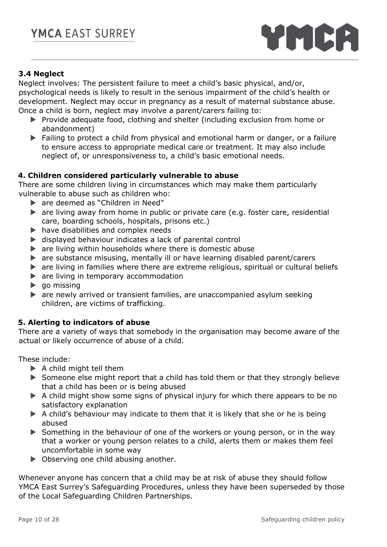

# **3.4 Neglect**

Neglect involves: The persistent failure to meet a child's basic physical, and/or, psychological needs is likely to result in the serious impairment of the child's health or development. Neglect may occur in pregnancy as a result of maternal substance abuse. Once a child is born, neglect may involve a parent/carers failing to:

- Provide adequate food, clothing and shelter (including exclusion from home or abandonment)
- Failing to protect a child from physical and emotional harm or danger, or a failure to ensure access to appropriate medical care or treatment. It may also include neglect of, or unresponsiveness to, a child's basic emotional needs.

### **4. Children considered particularly vulnerable to abuse**

There are some children living in circumstances which may make them particularly vulnerable to abuse such as children who:

- ▶ are deemed as "Children in Need"
- are living away from home in public or private care (e.g. foster care, residential care, boarding schools, hospitals, prisons etc.)
- $\blacktriangleright$  have disabilities and complex needs
- ▶ displayed behaviour indicates a lack of parental control
- $\triangleright$  are living within households where there is domestic abuse
- are substance misusing, mentally ill or have learning disabled parent/carers
- are living in families where there are extreme religious, spiritual or cultural beliefs
- **are living in temporary accommodation**
- $\blacktriangleright$  go missing
- are newly arrived or transient families, are unaccompanied asylum seeking children, are victims of trafficking.

## **5. Alerting to indicators of abuse**

There are a variety of ways that somebody in the organisation may become aware of the actual or likely occurrence of abuse of a child.

These include:

- $\blacktriangleright$  A child might tell them
- Someone else might report that a child has told them or that they strongly believe that a child has been or is being abused
- A child might show some signs of physical injury for which there appears to be no satisfactory explanation
- A child's behaviour may indicate to them that it is likely that she or he is being abused
- Something in the behaviour of one of the workers or young person, or in the way that a worker or young person relates to a child, alerts them or makes them feel uncomfortable in some way
- ▶ Observing one child abusing another.

Whenever anyone has concern that a child may be at risk of abuse they should follow YMCA East Surrey's Safeguarding Procedures, unless they have been superseded by those of the Local Safeguarding Children Partnerships.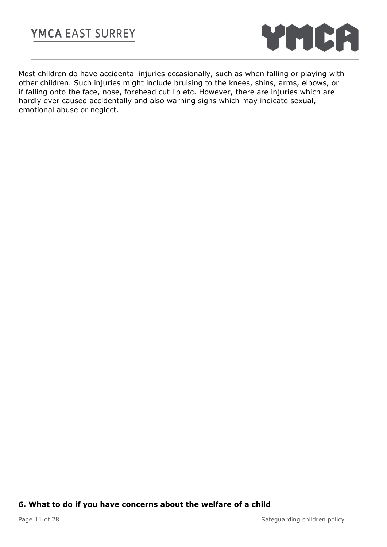# **YMCA EAST SURREY**



Most children do have accidental injuries occasionally, such as when falling or playing with other children. Such injuries might include bruising to the knees, shins, arms, elbows, or if falling onto the face, nose, forehead cut lip etc. However, there are injuries which are hardly ever caused accidentally and also warning signs which may indicate sexual, emotional abuse or neglect.

# **6. What to do if you have concerns about the welfare of a child**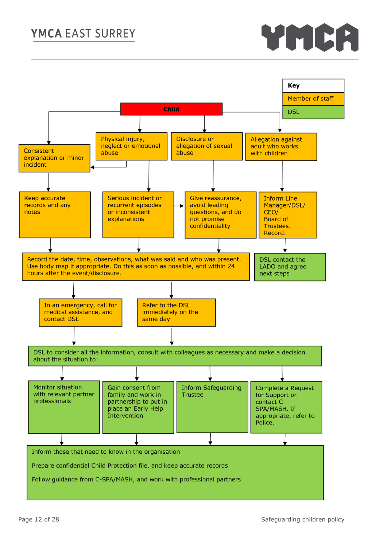# **YMCA EAST SURREY**



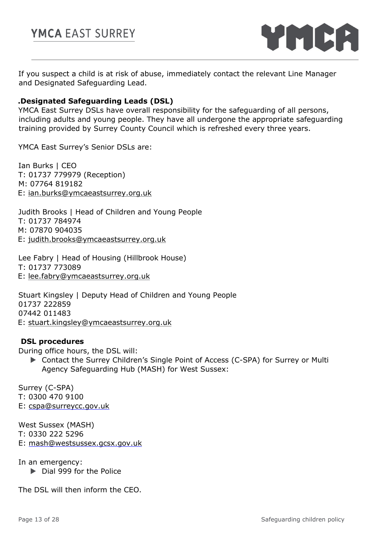

If you suspect a child is at risk of abuse, immediately contact the relevant Line Manager and Designated Safeguarding Lead.

## **.Designated Safeguarding Leads (DSL)**

YMCA East Surrey DSLs have overall responsibility for the safeguarding of all persons, including adults and young people. They have all undergone the appropriate safeguarding training provided by Surrey County Council which is refreshed every three years.

YMCA East Surrey's Senior DSLs are:

Ian Burks | CEO T: 01737 779979 (Reception) M: 07764 819182 E: ian.burks@ymcaeastsurrey.org.uk

Judith Brooks | Head of Children and Young People T: 01737 784974 M: 07870 904035 E: judith.brooks@ymcaeastsurrey.org.uk

Lee Fabry | Head of Housing (Hillbrook House) T: 01737 773089 E: lee.fabry@ymcaeastsurrey.org.uk

Stuart Kingsley | Deputy Head of Children and Young People 01737 222859 07442 011483 E: stuart.kingsley@ymcaeastsurrey.org.uk

### **DSL procedures**

- During office hours, the DSL will:
	- ▶ Contact the Surrey Children's Single Point of Access (C-SPA) for Surrey or Multi Agency Safeguarding Hub (MASH) for West Sussex:

Surrey (C-SPA) T: 0300 470 9100 E: cspa@surreycc.gov.uk

West Sussex (MASH) T: 0330 222 5296 E: mash@westsussex.gcsx.gov.uk

In an emergency:

Dial 999 for the Police

The DSL will then inform the CEO.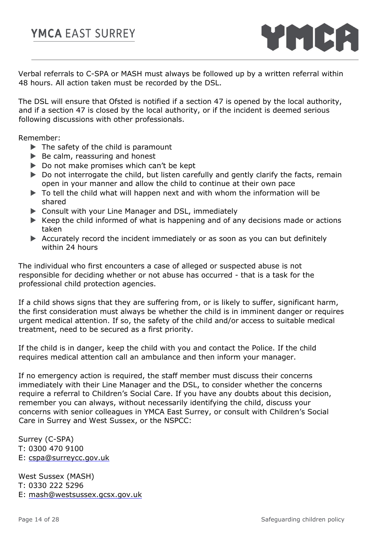

Verbal referrals to C-SPA or MASH must always be followed up by a written referral within 48 hours. All action taken must be recorded by the DSL.

The DSL will ensure that Ofsted is notified if a section 47 is opened by the local authority, and if a section 47 is closed by the local authority, or if the incident is deemed serious following discussions with other professionals.

Remember:

- $\blacktriangleright$  The safety of the child is paramount
- $\blacktriangleright$  Be calm, reassuring and honest
- Do not make promises which can't be kept
- Do not interrogate the child, but listen carefully and gently clarify the facts, remain open in your manner and allow the child to continue at their own pace
- ▶ To tell the child what will happen next and with whom the information will be shared
- Consult with your Line Manager and DSL, immediately
- $\blacktriangleright$  Keep the child informed of what is happening and of any decisions made or actions taken
- Accurately record the incident immediately or as soon as you can but definitely within 24 hours

The individual who first encounters a case of alleged or suspected abuse is not responsible for deciding whether or not abuse has occurred - that is a task for the professional child protection agencies.

If a child shows signs that they are suffering from, or is likely to suffer, significant harm, the first consideration must always be whether the child is in imminent danger or requires urgent medical attention. If so, the safety of the child and/or access to suitable medical treatment, need to be secured as a first priority.

If the child is in danger, keep the child with you and contact the Police. If the child requires medical attention call an ambulance and then inform your manager.

If no emergency action is required, the staff member must discuss their concerns immediately with their Line Manager and the DSL, to consider whether the concerns require a referral to Children's Social Care. If you have any doubts about this decision, remember you can always, without necessarily identifying the child, discuss your concerns with senior colleagues in YMCA East Surrey, or consult with Children's Social Care in Surrey and West Sussex, or the NSPCC:

Surrey (C-SPA) T: 0300 470 9100 E: cspa@surreycc.gov.uk

West Sussex (MASH) T: 0330 222 5296 E: mash@westsussex.gcsx.gov.uk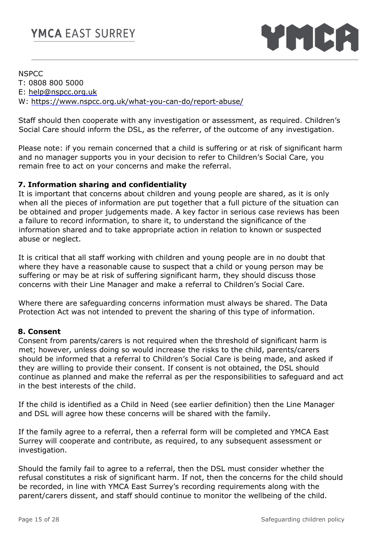

### **NSPCC** T: 0808 800 5000 E: help@nspcc.org.uk W: https://www.nspcc.org.uk/what-you-can-do/report-abuse/

Staff should then cooperate with any investigation or assessment, as required. Children's Social Care should inform the DSL, as the referrer, of the outcome of any investigation.

Please note: if you remain concerned that a child is suffering or at risk of significant harm and no manager supports you in your decision to refer to Children's Social Care, you remain free to act on your concerns and make the referral.

## **7. Information sharing and confidentiality**

It is important that concerns about children and young people are shared, as it is only when all the pieces of information are put together that a full picture of the situation can be obtained and proper judgements made. A key factor in serious case reviews has been a failure to record information, to share it, to understand the significance of the information shared and to take appropriate action in relation to known or suspected abuse or neglect.

It is critical that all staff working with children and young people are in no doubt that where they have a reasonable cause to suspect that a child or young person may be suffering or may be at risk of suffering significant harm, they should discuss those concerns with their Line Manager and make a referral to Children's Social Care.

Where there are safeguarding concerns information must always be shared. The Data Protection Act was not intended to prevent the sharing of this type of information.

## **8. Consent**

Consent from parents/carers is not required when the threshold of significant harm is met; however, unless doing so would increase the risks to the child, parents/carers should be informed that a referral to Children's Social Care is being made, and asked if they are willing to provide their consent. If consent is not obtained, the DSL should continue as planned and make the referral as per the responsibilities to safeguard and act in the best interests of the child.

If the child is identified as a Child in Need (see earlier definition) then the Line Manager and DSL will agree how these concerns will be shared with the family.

If the family agree to a referral, then a referral form will be completed and YMCA East Surrey will cooperate and contribute, as required, to any subsequent assessment or investigation.

Should the family fail to agree to a referral, then the DSL must consider whether the refusal constitutes a risk of significant harm. If not, then the concerns for the child should be recorded, in line with YMCA East Surrey's recording requirements along with the parent/carers dissent, and staff should continue to monitor the wellbeing of the child.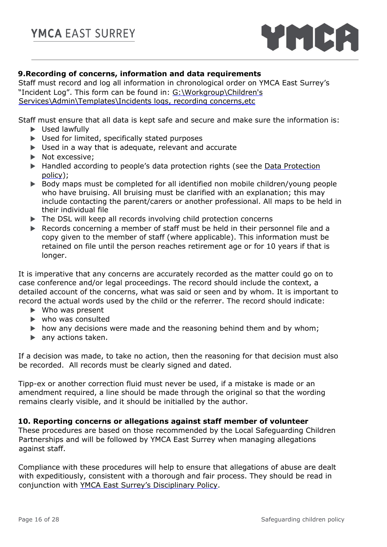

## **9.Recording of concerns, information and data requirements**

Staff must record and log all information in chronological order on YMCA East Surrey's "Incident Log". This form can be found in: G:\Workgroup\Children's Services\Admin\Templates\Incidents logs, recording concerns,etc

Staff must ensure that all data is kept safe and secure and make sure the information is:

- Used lawfully
- ▶ Used for limited, specifically stated purposes
- ▶ Used in a way that is adequate, relevant and accurate
- $\blacktriangleright$  Not excessive:
- Handled according to people's data protection rights (see the Data Protection policy);
- Body maps must be completed for all identified non mobile children/young people who have bruising. All bruising must be clarified with an explanation; this may include contacting the parent/carers or another professional. All maps to be held in their individual file
- ▶ The DSL will keep all records involving child protection concerns
- Records concerning a member of staff must be held in their personnel file and a copy given to the member of staff (where applicable). This information must be retained on file until the person reaches retirement age or for 10 years if that is longer.

It is imperative that any concerns are accurately recorded as the matter could go on to case conference and/or legal proceedings. The record should include the context, a detailed account of the concerns, what was said or seen and by whom. It is important to record the actual words used by the child or the referrer. The record should indicate:

- ▶ Who was present
- $\blacktriangleright$  who was consulted
- $\triangleright$  how any decisions were made and the reasoning behind them and by whom;
- any actions taken.

If a decision was made, to take no action, then the reasoning for that decision must also be recorded. All records must be clearly signed and dated.

Tipp-ex or another correction fluid must never be used, if a mistake is made or an amendment required, a line should be made through the original so that the wording remains clearly visible, and it should be initialled by the author.

### **10. Reporting concerns or allegations against staff member of volunteer**

These procedures are based on those recommended by the Local Safeguarding Children Partnerships and will be followed by YMCA East Surrey when managing allegations against staff.

Compliance with these procedures will help to ensure that allegations of abuse are dealt with expeditiously, consistent with a thorough and fair process. They should be read in conjunction with YMCA East Surrey's Disciplinary Policy.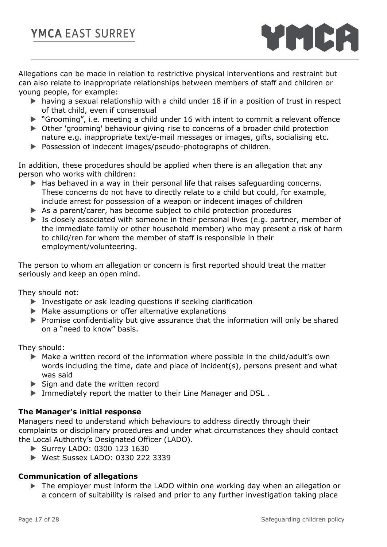

Allegations can be made in relation to restrictive physical interventions and restraint but can also relate to inappropriate relationships between members of staff and children or young people, for example:

- $\triangleright$  having a sexual relationship with a child under 18 if in a position of trust in respect of that child, even if consensual
- "Grooming", i.e. meeting a child under 16 with intent to commit a relevant offence
- Other 'grooming' behaviour giving rise to concerns of a broader child protection nature e.g. inappropriate text/e-mail messages or images, gifts, socialising etc.
- Possession of indecent images/pseudo-photographs of children.

In addition, these procedures should be applied when there is an allegation that any person who works with children:

- $\blacktriangleright$  Has behaved in a way in their personal life that raises safeguarding concerns. These concerns do not have to directly relate to a child but could, for example, include arrest for possession of a weapon or indecent images of children
- As a parent/carer, has become subject to child protection procedures
- Is closely associated with someone in their personal lives (e.g. partner, member of the immediate family or other household member) who may present a risk of harm to child/ren for whom the member of staff is responsible in their employment/volunteering.

The person to whom an allegation or concern is first reported should treat the matter seriously and keep an open mind.

They should not:

- Investigate or ask leading questions if seeking clarification
- Make assumptions or offer alternative explanations
- $\blacktriangleright$  Promise confidentiality but give assurance that the information will only be shared on a "need to know" basis.

They should:

- Make a written record of the information where possible in the child/adult's own words including the time, date and place of incident(s), persons present and what was said
- $\triangleright$  Sign and date the written record
- Immediately report the matter to their Line Manager and DSL .

## **The Manager's initial response**

Managers need to understand which behaviours to address directly through their complaints or disciplinary procedures and under what circumstances they should contact the Local Authority's Designated Officer (LADO).

- Surrey LADO: 0300 123 1630
- ▶ West Sussex LADO: 0330 222 3339

## **Communication of allegations**

 The employer must inform the LADO within one working day when an allegation or a concern of suitability is raised and prior to any further investigation taking place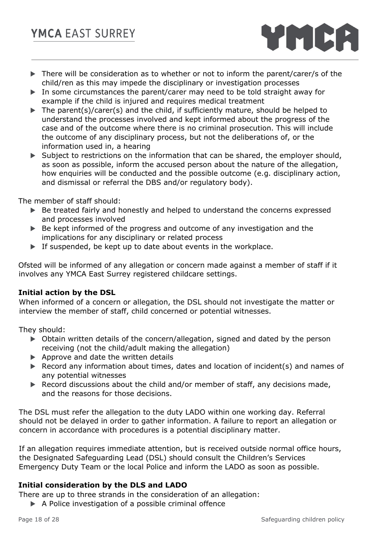- ▶ There will be consideration as to whether or not to inform the parent/carer/s of the child/ren as this may impede the disciplinary or investigation processes
- In some circumstances the parent/carer may need to be told straight away for example if the child is injured and requires medical treatment
- $\triangleright$  The parent(s)/carer(s) and the child, if sufficiently mature, should be helped to understand the processes involved and kept informed about the progress of the case and of the outcome where there is no criminal prosecution. This will include the outcome of any disciplinary process, but not the deliberations of, or the information used in, a hearing
- $\triangleright$  Subject to restrictions on the information that can be shared, the employer should, as soon as possible, inform the accused person about the nature of the allegation, how enquiries will be conducted and the possible outcome (e.g. disciplinary action, and dismissal or referral the DBS and/or regulatory body).

The member of staff should:

- ▶ Be treated fairly and honestly and helped to understand the concerns expressed and processes involved
- $\blacktriangleright$  Be kept informed of the progress and outcome of any investigation and the implications for any disciplinary or related process
- $\blacktriangleright$  If suspended, be kept up to date about events in the workplace.

Ofsted will be informed of any allegation or concern made against a member of staff if it involves any YMCA East Surrey registered childcare settings.

## **Initial action by the DSL**

When informed of a concern or allegation, the DSL should not investigate the matter or interview the member of staff, child concerned or potential witnesses.

They should:

- Obtain written details of the concern/allegation, signed and dated by the person receiving (not the child/adult making the allegation)
- $\blacktriangleright$  Approve and date the written details
- ▶ Record any information about times, dates and location of incident(s) and names of any potential witnesses
- ▶ Record discussions about the child and/or member of staff, any decisions made, and the reasons for those decisions.

The DSL must refer the allegation to the duty LADO within one working day. Referral should not be delayed in order to gather information. A failure to report an allegation or concern in accordance with procedures is a potential disciplinary matter.

If an allegation requires immediate attention, but is received outside normal office hours, the Designated Safeguarding Lead (DSL) should consult the Children's Services Emergency Duty Team or the local Police and inform the LADO as soon as possible.

## **Initial consideration by the DLS and LADO**

There are up to three strands in the consideration of an allegation:

 $\blacktriangleright$  A Police investigation of a possible criminal offence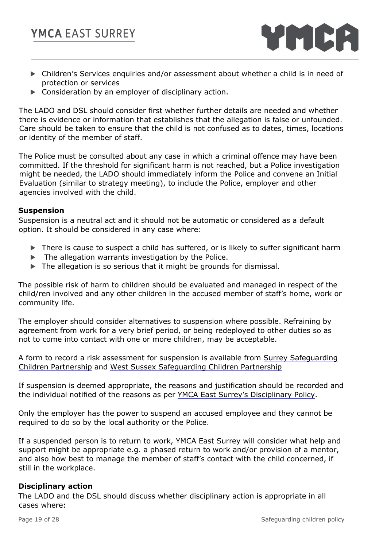- Children's Services enquiries and/or assessment about whether a child is in need of protection or services
- ▶ Consideration by an employer of disciplinary action.

The LADO and DSL should consider first whether further details are needed and whether there is evidence or information that establishes that the allegation is false or unfounded. Care should be taken to ensure that the child is not confused as to dates, times, locations or identity of the member of staff.

The Police must be consulted about any case in which a criminal offence may have been committed. If the threshold for significant harm is not reached, but a Police investigation might be needed, the LADO should immediately inform the Police and convene an Initial Evaluation (similar to strategy meeting), to include the Police, employer and other agencies involved with the child.

### **Suspension**

Suspension is a neutral act and it should not be automatic or considered as a default option. It should be considered in any case where:

- $\triangleright$  There is cause to suspect a child has suffered, or is likely to suffer significant harm
- The allegation warrants investigation by the Police.
- $\triangleright$  The allegation is so serious that it might be grounds for dismissal.

The possible risk of harm to children should be evaluated and managed in respect of the child/ren involved and any other children in the accused member of staff's home, work or community life.

The employer should consider alternatives to suspension where possible. Refraining by agreement from work for a very brief period, or being redeployed to other duties so as not to come into contact with one or more children, may be acceptable.

A form to record a risk assessment for suspension is available from Surrey Safeguarding Children Partnership and West Sussex Safeguarding Children Partnership

If suspension is deemed appropriate, the reasons and justification should be recorded and the individual notified of the reasons as per [YMCA East Surrey's Disciplinary Policy](https://surreyscb.procedures.org.uk/qkpph)[.](https://surreyscb.procedures.org.uk/qkpph)

Only the employer has the power to suspend an accused employee and they cannot be required to do so by the local authority or the Police.

If a suspended person is to return to work, YMCA East Surrey will consider what help and support might be appropriate e.g. a phased return to work and/or provision of a mentor, and also how best to manage the member of staff's contact with the child concerned, if still in the workplace.

#### **Disciplinary action**

The LADO and the DSL should discuss whether disciplinary action is appropriate in all cases where: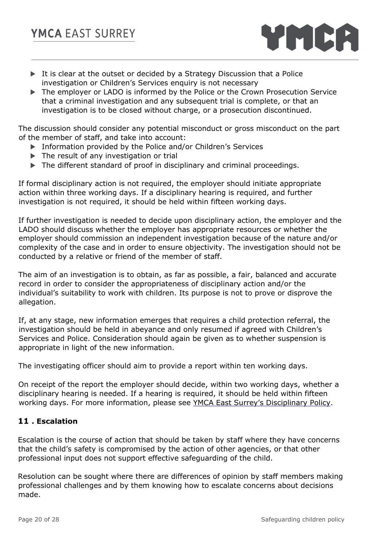- ▶ It is clear at the outset or decided by a Strategy Discussion that a Police investigation or Children's Services enquiry is not necessary
- ▶ The employer or LADO is informed by the Police or the Crown Prosecution Service that a criminal investigation and any subsequent trial is complete, or that an investigation is to be closed without charge, or a prosecution discontinued.

The discussion should consider any potential misconduct or gross misconduct on the part of the member of staff, and take into account:

- ▶ Information provided by the Police and/or Children's Services
- $\blacktriangleright$  The result of any investigation or trial
- The different standard of proof in disciplinary and criminal proceedings.

If formal disciplinary action is not required, the employer should initiate appropriate action within three working days. If a disciplinary hearing is required, and further investigation is not required, it should be held within fifteen working days.

If further investigation is needed to decide upon disciplinary action, the employer and the LADO should discuss whether the employer has appropriate resources or whether the employer should commission an independent investigation because of the nature and/or complexity of the case and in order to ensure objectivity. The investigation should not be conducted by a relative or friend of the member of staff.

The aim of an investigation is to obtain, as far as possible, a fair, balanced and accurate record in order to consider the appropriateness of disciplinary action and/or the individual's suitability to work with children. Its purpose is not to prove or disprove the allegation.

If, at any stage, new information emerges that requires a child protection referral, the investigation should be held in abeyance and only resumed if agreed with Children's Services and Police. Consideration should again be given as to whether suspension is appropriate in light of the new information.

The investigating officer should aim to provide a report within ten working days.

On receipt of the report the employer should decide, within two working days, whether a disciplinary hearing is needed. If a hearing is required, it should be held within fifteen working days. For more information, please see YMCA East Surrey's Disciplinary Policy.

## **11 . Escalation**

Escalation is the course of action that should be taken by staff where they have concerns that the child's safety is compromised by the action of other agencies, or that other professional input does not support effective safeguarding of the child.

Resolution can be sought where there are differences of opinion by staff members making professional challenges and by them knowing how to escalate concerns about decisions made.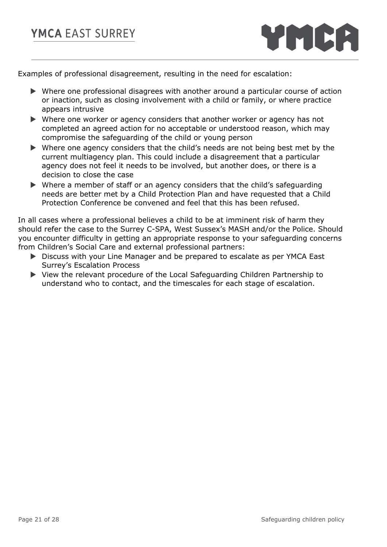

Examples of professional disagreement, resulting in the need for escalation:

- Where one professional disagrees with another around a particular course of action or inaction, such as closing involvement with a child or family, or where practice appears intrusive
- Where one worker or agency considers that another worker or agency has not completed an agreed action for no acceptable or understood reason, which may compromise the safeguarding of the child or young person
- Where one agency considers that the child's needs are not being best met by the current multiagency plan. This could include a disagreement that a particular agency does not feel it needs to be involved, but another does, or there is a decision to close the case
- Where a member of staff or an agency considers that the child's safeguarding needs are better met by a Child Protection Plan and have requested that a Child Protection Conference be convened and feel that this has been refused.

In all cases where a professional believes a child to be at imminent risk of harm they should refer the case to the Surrey C-SPA, West Sussex's MASH and/or the Police. Should you encounter difficulty in getting an appropriate response to your safeguarding concerns from Children's Social Care and external professional partners:

- Discuss with your Line Manager and be prepared to escalate as per YMCA East Surrey's Escalation Process
- View the relevant procedure of the Local Safeguarding Children Partnership to understand who to contact, and the timescales for each stage of escalation.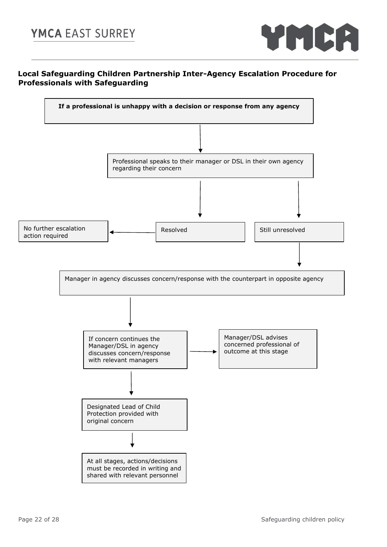# **YMCA EAST SURREY**



## **Local Safeguarding Children Partnership Inter-Agency Escalation Procedure for Professionals with Safeguarding**

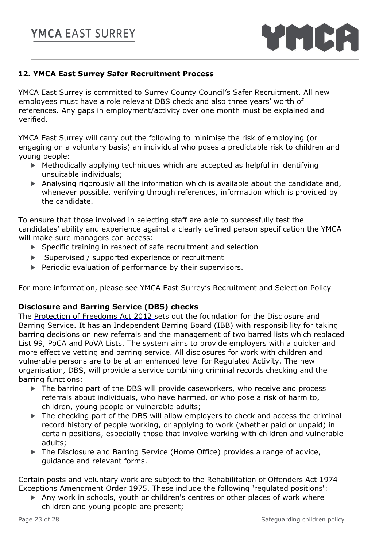

## **12. YMCA East Surrey Safer Recruitment Process**

YMCA East Surrey is committed to [Surrey County Council's Safer Recruitment](https://www.nspcc.org.uk/what-you-can-do/report-abuse/)[.](https://www.nspcc.org.uk/what-you-can-do/report-abuse/) All new employees must have a role relevant DBS check and also three years' worth of references. Any gaps in employment/activity over one month must be explained and verified.

YMCA East Surrey will carry out the following to minimise the risk of employing (or engaging on a voluntary basis) an individual who poses a predictable risk to children and young people:

- Methodically applying techniques which are accepted as helpful in identifying unsuitable individuals;
- Analysing rigorously all the information which is available about the candidate and, whenever possible, verifying through references, information which is provided by the candidate.

To ensure that those involved in selecting staff are able to successfully test the candidates' ability and experience against a clearly defined person specification the YMCA will make sure managers can access:

- ▶ Specific training in respect of safe recruitment and selection
- ▶ Supervised / supported experience of recruitment
- $\blacktriangleright$  Periodic evaluation of performance by their supervisors.

For more information, please see [YMCA East Surrey's Recruitment and Select](https://www.surreycc.gov.uk/social-care-and-health/childrens-social-care/professionals/forms-for-protecting-and-safeguarding-children)ion Polic[y](https://www.surreycc.gov.uk/social-care-and-health/childrens-social-care/professionals/forms-for-protecting-and-safeguarding-children)

## **Disclosure and Barring Service (DBS) checks**

Th[e](https://www.westsussexscp.org.uk/professionals/training/) [Protection of Freedoms Act 2012](https://www.westsussexscp.org.uk/professionals/training/) [se](https://www.westsussexscp.org.uk/professionals/training/)ts out the foundation for the Disclosure and Barring Service. It has an Independent Barring Board (IBB) with responsibility for taking barring decisions on new referrals and the management of two barred lists which replaced List 99, PoCA and PoVA Lists. The system aims to provide employers with a quicker and more effective vetting and barring service. All disclosures for work with children and vulnerable persons are to be at an enhanced level for Regulated Activity. The new organisation, DBS, will provide a service combining criminal records checking and the barring functions:

- The barring part of the DBS will provide caseworkers, who receive and process referrals about individuals, who have harmed, or who pose a risk of harm to, children, young people or vulnerable adults;
- The checking part of the DBS will allow employers to check and access the criminal record history of people working, or applying to work (whether paid or unpaid) in certain positions, especially those that involve working with children and vulnerable adults;
- The Disclosure and Barring Service (Home Office) provides a range of advice, guidance and relevant forms.

Certain posts and voluntary work are subject to the Rehabilitation of Offenders Act 1974 Exceptions Amendment Order 1975. These include the following 'regulated positions':

 Any work in schools, youth or children's centres or other places of work where children and young people are present;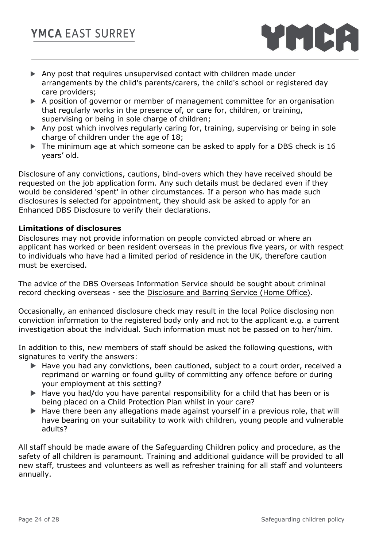- Any post that requires unsupervised contact with children made under arrangements by the child's parents/carers, the child's school or registered day care providers;
- A position of governor or member of management committee for an organisation that regularly works in the presence of, or care for, children, or training, supervising or being in sole charge of children;
- Any post which involves regularly caring for, training, supervising or being in sole charge of children under the age of 18;
- $\triangleright$  The minimum age at which someone can be asked to apply for a DBS check is 16 years' old.

Disclosure of any convictions, cautions, bind-overs which they have received should be requested on the job application form. Any such details must be declared even if they would be considered 'spent' in other circumstances. If a person who has made such disclosures is selected for appointment, they should ask be asked to apply for an Enhanced DBS Disclosure to verify their declarations.

### **Limitations of disclosures**

Disclosures may not provide information on people convicted abroad or where an applicant has worked or been resident overseas in the previous five years, or with respect to individuals who have had a limited period of residence in the UK, therefore caution must be exercised.

The advice of the DBS Overseas Information Service should be sought about criminal record checking overseas - see the [Disclosure and Barring Service \(Home Office\).](https://www.gov.uk/government/organisations/disclosure-and-barring-service)

Occasionally, an enhanced disclosure check may result in the local Police disclosing non conviction information to the registered body only and not to the applicant e.g. a current investigation about the individual. Such information must not be passed on to her/him.

In addition to this, new members of staff should be asked the following questions, with signatures to verify the answers:

- Have you had any convictions, been cautioned, subject to a court order, received a reprimand or warning or found guilty of committing any offence before or during your employment at this setting?
- $\blacktriangleright$  Have you had/do you have parental responsibility for a child that has been or is being placed on a Child Protection Plan whilst in your care?
- Have there been any allegations made against yourself in a previous role, that will have bearing on your suitability to work with children, young people and vulnerable adults?

All staff should be made aware of the Safeguarding Children policy and procedure, as the safety of all children is paramount. Training and additional guidance will be provided to all new staff, trustees and volunteers as well as refresher training for all staff and volunteers annually.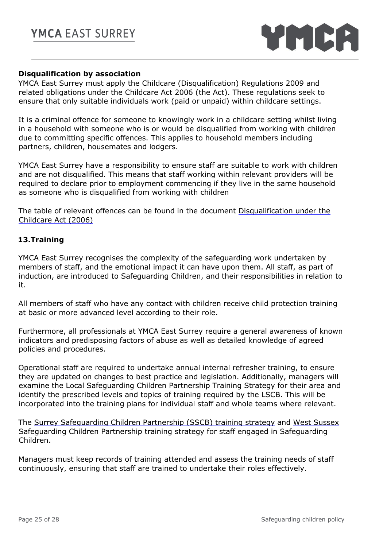# **YMCA EAST SURREY**



### **Disqualification by association**

YMCA East Surrey must apply the Childcare (Disqualification) Regulations 2009 and related obligations under the Childcare Act 2006 (the Act). These regulations seek to ensure that only suitable individuals work (paid or unpaid) within childcare settings.

It is a criminal offence for someone to knowingly work in a childcare setting whilst living in a household with someone who is or would be disqualified from working with children due to committing specific offences. This applies to household members including partners, children, housemates and lodgers.

YMCA East Surrey have a responsibility to ensure staff are suitable to work with children and are not disqualified. This means that staff working within relevant providers will be required to declare prior to employment commencing if they live in the same household as someone who is disqualified from working with children

The table of relevant offences can be found in the document Disqualification under the Childcare Act (2006)

### **13.Training**

YMCA East Surrey recognises the complexity of the safeguarding work undertaken by members of staff, and the emotional impact it can have upon them. All staff, as part of induction, are introduced to Safeguarding Children, and their responsibilities in relation to it.

All members of staff who have any contact with children receive child protection training at basic or more advanced level according to their role.

Furthermore, all professionals at YMCA East Surrey require a general awareness of known indicators and predisposing factors of abuse as well as detailed knowledge of agreed policies and procedures.

Operational staff are required to undertake annual internal refresher training, to ensure they are updated on changes to best practice and legislation. Additionally, managers will examine the Local Safeguarding Children Partnership Training Strategy for their area and identify the prescribed levels and topics of training required by the LSCB. This will be incorporated into the training plans for individual staff and whole teams where relevant.

Th[e](https://www.surreyscp.org.uk/sscb-mutli-agency-training-programme/) [Surrey Safeguarding Children](https://www.surreyscp.org.uk/sscb-mutli-agency-training-programme/) Partnershi[p](https://www.surreyscp.org.uk/sscb-mutli-agency-training-programme/) [\(SSCB\) training strategy](https://www.surreyscp.org.uk/sscb-mutli-agency-training-programme/) and [West Sussex](https://www.gov.uk/government/publications/disqualification-under-the-childcare-act-2006/disqualification-under-the-childcare-act-2006) [Safeguarding Children Partnership training strategy](https://www.gov.uk/government/publications/disqualification-under-the-childcare-act-2006/disqualification-under-the-childcare-act-2006) for staff engaged in Safeguarding Children.

Managers must keep records of training attended and assess the training needs of staff continuously, ensuring that staff are trained to undertake their roles effectively.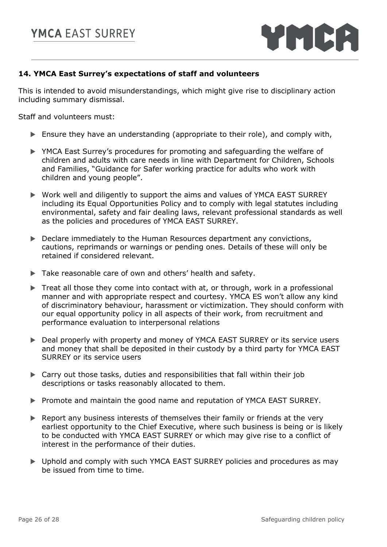

## **14. YMCA East Surrey's expectations of staff and volunteers**

This is intended to avoid misunderstandings, which might give rise to disciplinary action including summary dismissal.

Staff and volunteers must:

- $\blacktriangleright$  Ensure they have an understanding (appropriate to their role), and comply with,
- YMCA East Surrey's procedures for promoting and safeguarding the welfare of children and adults with care needs in line with Department for Children, Schools and Families, "Guidance for Safer working practice for adults who work with children and young people".
- Work well and diligently to support the aims and values of YMCA EAST SURREY including its Equal Opportunities Policy and to comply with legal statutes including environmental, safety and fair dealing laws, relevant professional standards as well as the policies and procedures of YMCA EAST SURREY.
- Declare immediately to the Human Resources department any convictions, cautions, reprimands or warnings or pending ones. Details of these will only be retained if considered relevant.
- Take reasonable care of own and others' health and safety.
- $\triangleright$  Treat all those they come into contact with at, or through, work in a professional manner and with appropriate respect and courtesy. YMCA ES won't allow any kind of discriminatory behaviour, harassment or victimization. They should conform with our equal opportunity policy in all aspects of their work, from recruitment and performance evaluation to interpersonal relations
- ▶ Deal properly with property and money of YMCA EAST SURREY or its service users and money that shall be deposited in their custody by a third party for YMCA EAST SURREY or its service users
- Carry out those tasks, duties and responsibilities that fall within their job descriptions or tasks reasonably allocated to them.
- **Promote and maintain the good name and reputation of YMCA EAST SURREY.**
- Report any business interests of themselves their family or friends at the very earliest opportunity to the Chief Executive, where such business is being or is likely to be conducted with YMCA EAST SURREY or which may give rise to a conflict of interest in the performance of their duties.
- Uphold and comply with such YMCA EAST SURREY policies and procedures as may be issued from time to time.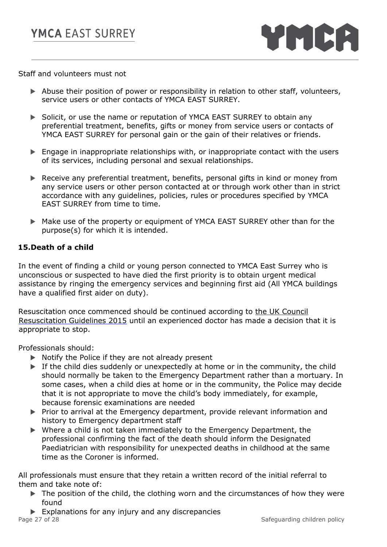

Staff and volunteers must not

- Abuse their position of power or responsibility in relation to other staff, volunteers, service users or other contacts of YMCA EAST SURREY.
- Solicit, or use the name or reputation of YMCA EAST SURREY to obtain any preferential treatment, benefits, gifts or money from service users or contacts of YMCA EAST SURREY for personal gain or the gain of their relatives or friends.
- Engage in inappropriate relationships with, or inappropriate contact with the users of its services, including personal and sexual relationships.
- Receive any preferential treatment, benefits, personal gifts in kind or money from any service users or other person contacted at or through work other than in strict accordance with any guidelines, policies, rules or procedures specified by YMCA EAST SURREY from time to time.
- Make use of the property or equipment of YMCA EAST SURREY other than for the purpose(s) for which it is intended.

## **15.Death of a child**

In the event of finding a child or young person connected to YMCA East Surrey who is unconscious or suspected to have died the first priority is to obtain urgent medical assistance by ringing the emergency services and beginning first aid (All YMCA buildings have a qualified first aider on duty).

Resuscitation once commenced should be continued according to [the](https://www.surreyscp.org.uk/wp-content/uploads/2016/06/SSCB-CSE-Screening-Tool-May-16.pdf) [UK Council](https://www.surreyscp.org.uk/wp-content/uploads/2016/06/SSCB-CSE-Screening-Tool-May-16.pdf) [Resuscitation Guidelines 2015](https://www.surreyscp.org.uk/wp-content/uploads/2016/06/SSCB-CSE-Screening-Tool-May-16.pdf) until an experienced doctor has made a decision that it is appropriate to stop.

Professionals should:

- Notify the Police if they are not already present
- $\blacktriangleright$  If the child dies suddenly or unexpectedly at home or in the community, the child should normally be taken to the Emergency Department rather than a mortuary. In some cases, when a child dies at home or in the community, the Police may decide that it is not appropriate to move the child's body immediately, for example, because forensic examinations are needed
- Prior to arrival at the Emergency department, provide relevant information and history to Emergency department staff
- Where a child is not taken immediately to the Emergency Department, the professional confirming the fact of the death should inform the Designated Paediatrician with responsibility for unexpected deaths in childhood at the same time as the Coroner is informed.

All professionals must ensure that they retain a written record of the initial referral to them and take note of:

- $\blacktriangleright$  The position of the child, the clothing worn and the circumstances of how they were found
- Page 27 of 28 Safeguarding children policy and the Safeguarding children policy  $\blacktriangleright$  Explanations for any injury and any discrepancies